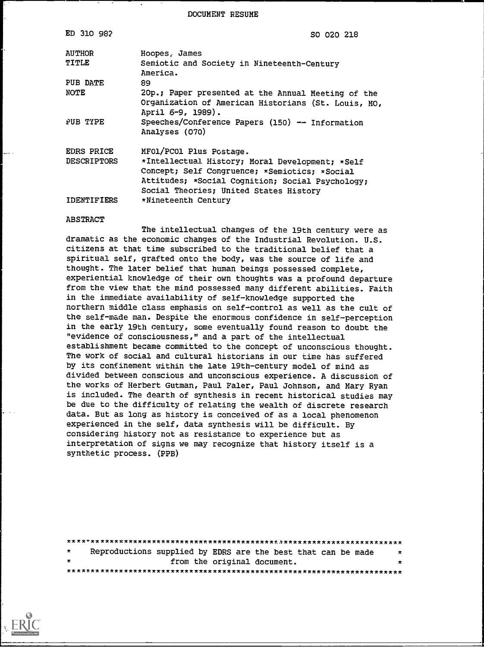DOCUMENT RESUME

| ED 310 982                       | SO 020 218                                                                                                                                                                                                                |
|----------------------------------|---------------------------------------------------------------------------------------------------------------------------------------------------------------------------------------------------------------------------|
| <b>AUTHOR</b>                    | Hoopes, James                                                                                                                                                                                                             |
| TITLE                            | Semiotic and Society in Nineteenth-Century<br>America.                                                                                                                                                                    |
| PUB DATE                         | 89.                                                                                                                                                                                                                       |
| <b>NOTE</b>                      | 20p.; Paper presented at the Annual Meeting of the<br>Organization of American Historians (St. Louis, MO,<br>April 6-9, 1989).                                                                                            |
| PUB TYPE                         | Speeches/Conference Papers (150) -- Information<br>Analyses (070)                                                                                                                                                         |
| EDRS PRICE<br><b>DESCRIPTORS</b> | MFOL/PCOl Plus Postage.<br>*Intellectual History; Moral Development; *Self<br>Concept; Self Congruence; *Semiotics; *Social<br>Attitudes; *Social Cognition; Social Psychology;<br>Social Theories; United States History |
| IDENTIFIERS                      | *Nineteenth Century                                                                                                                                                                                                       |

## ABSTRACT

The intellectual changes of the 19th century were as dramatic as the economic changes of the Industrial Revolution. U.S. citizens at that time subscribed to the traditional belief that a spiritual self, grafted onto the body, was the source of life and thought. The later belief that human beings possessed complete, experiential knowledge of their own thoughts was a profound departure from the view that the mind possessed many different abilities. Faith in the immediate availability of self-knowledge supported the northern middle class emphasis on self-control as well as the cult of the self-made man. Despite the enormous confidence in self-perception in the early 19th century, some eventually found reason to doubt the "evidence of consciousness," and a part of the intellectual establishment became committed to the concept of unconscious thought. The work of social and cultural historians in our time has suffered by its confinement within the late 19th-century model of mind as divided between conscious and unconscious experience. A discussion of the works of Herbert Gutman, Paul Faler, Paul Johnson, and Mary Ryan is included. The dearth of synthesis in recent historical studies may be due to the difficulty of relating the wealth of discrete research data. But as long as history is conceived of as a local phenomenon experienced in the self, data synthesis will be difficult. By considering history not as resistance to experience but as interpretation of signs we may recognize that history itself is a synthetic process. (PPB)

| $\star$ | Reproductions supplied by EDRS are the best that can be made |  |  |                             |  | $\star$ |  |
|---------|--------------------------------------------------------------|--|--|-----------------------------|--|---------|--|
| $\star$ |                                                              |  |  | from the original document. |  | ×       |  |
|         |                                                              |  |  |                             |  |         |  |

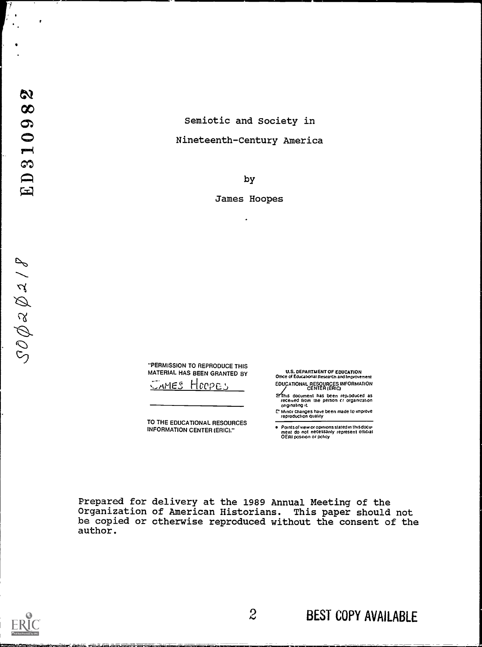$SOQ \approx Q \approx 18$ 

## Semiotic and Society in Nineteenth-Century America

by

James Hoopes

 $\cdot$ 

"PERMISSION TO REPRODUCE THIS MATERIAL HAS BEEN GRANTED BY

**SAMES HOOPES** 

TO THE EDUCATIONAL RESOURCES INFORMATION CENTER (ERIC)."

U.S. DEPARTMENT OF EDUCATION Othce o Educabonal Reserch and Improvement EDUCATIONAL RESOURCES INFORMATION CENTER /ERIC)

@This document has been rep.oduced as<br>| received from the person cr organization<br>| originating it

C Minor changes have been made to improve<br>reproduction quality

Points of view or opinions stated in this docu-<br>ment :do: not: necessarily: represent: official<br>OERI position or policy

Prepared for delivery at the 1989 Annual Meeting of the Organization of American Historians. This paper should not be copied or otherwise reproduced without the consent of the author.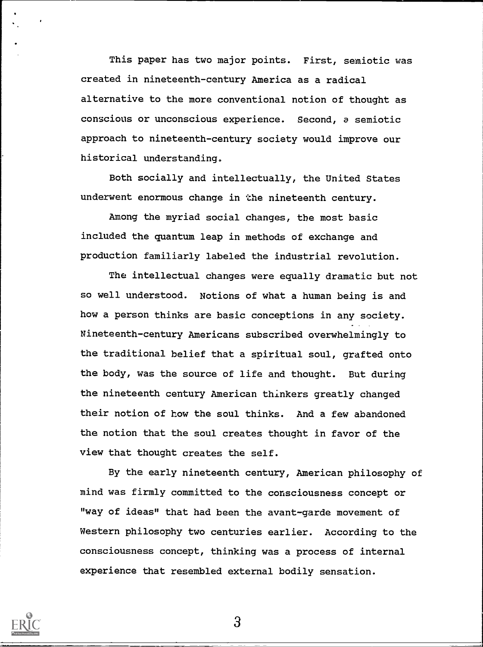This paper has two major points. First, semiotic was created in nineteenth-century America as a radical alternative to the more conventional notion of thought as conscious or unconscious experience. Second, a semiotic approach to nineteenth-century society would improve our historical understanding.

Both socially and intellectually, the United States underwent enormous change in the nineteenth century.

Among the myriad social changes, the most basic included the quantum leap in methods of exchange and production familiarly labeled the industrial revolution.

The intellectual changes were equally dramatic but not so well understood. Notions of what a human being is and how a person thinks are basic conceptions in any society. Nineteenth-century Americans subscribed overwhelmingly to the traditional belief that a spiritual soul, grafted onto the body, was the source of life and thought. But during the nineteenth century American thinkers greatly changed their notion of how the soul thinks. And a few abandoned the notion that the soul creates thought in favor of the view that thought creates the self.

By the early nineteenth century, American philosophy of mind was firmly committed to the consciousness concept or "way of ideas" that had been the avant-garde movement of Western philosophy two centuries earlier. According to the consciousness concept, thinking was a process of internal experience that resembled external bodily sensation.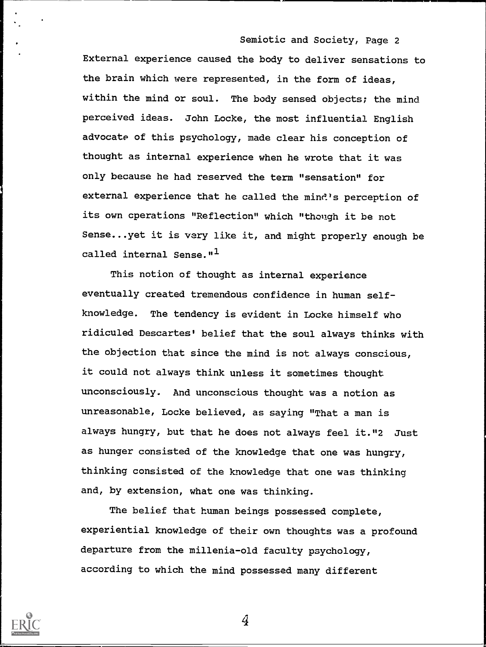External experience caused the body to deliver sensations to the brain which were represented, in the form of ideas, within the mind or soul. The body sensed objects; the mind perceived ideas. John Locke, the most influential English advocate of this psychology, made clear his conception of thought as internal experience when he wrote that it was only because he had reserved the term "sensation" for external experience that he called the mind's perception of its own cperations "Reflection" which "though it be not Sense...yet it is very like it, and might properly enough be called internal Sense."<sup>1</sup>

This notion of thought as internal experience eventually created tremendous confidence in human selfknowledge. The tendency is evident in Locke himself who ridiculed Descartes' belief that the soul always thinks with the objection that since the mind is not always conscious, it could not always think unless it sometimes thought unconsciously. And unconscious thought was a notion as unreasonable, Locke believed, as saying "That a man is always hungry, but that he does not always feel it."2 Just as hunger consisted of the knowledge that one was hungry, thinking consisted of the knowledge that one was thinking and, by extension, what one was thinking.

The belief that human beings possessed complete, experiential knowledge of their own thoughts was a profound departure from the millenia-old faculty psychology, according to which the mind possessed many different

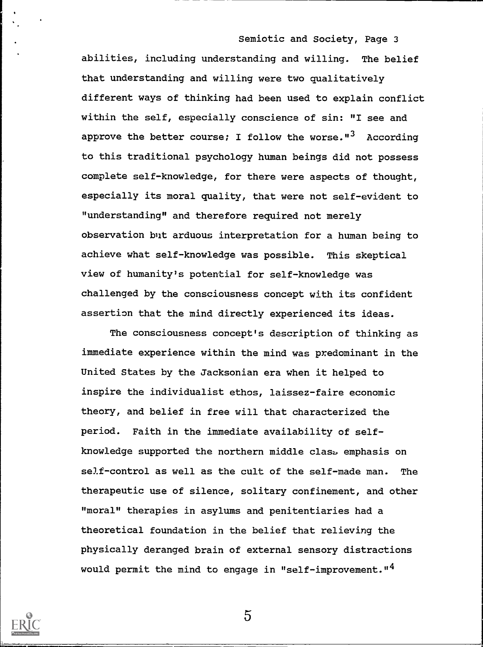abilities, including understanding and willing. The belief that understanding and willing were two qualitatively different ways of thinking had been used to explain conflict within the self, especially conscience of sin: "I see and approve the better course; I follow the worse."<sup>3</sup> According to this traditional psychology human beings did not possess complete self-knowledge, for there were aspects of thought, especially its moral quality, that were not self-evident to "understanding" and therefore required not merely observation but arduous interpretation for a human being to achieve what self-knowledge was possible. This skeptical view of humanity's potential for self-knowledge was challenged by the consciousness concept with its confident assertion that the mind directly experienced its ideas.

The consciousness concept's description of thinking as immediate experience within the mind was predominant in the United States by the Jacksonian era when it helped to inspire the individualist ethos, laissez-faire economic theory, and belief in free will that characterized the period. Faith in the immediate availability of selfknowledge supported the northern middle class. emphasis on self-control as well as the cult of the self-made man. The therapeutic use of silence, solitary confinement, and other "moral" therapies in asylums and penitentiaries had a theoretical foundation in the belief that relieving the physically deranged brain of external sensory distractions would permit the mind to engage in "self-improvement."<sup>4</sup>

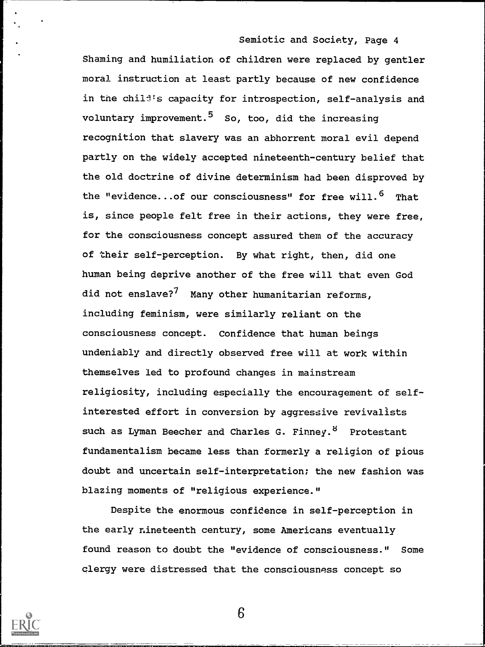Shaming and humiliation of children were replaced by gentler moral instruction at least partly because of new confidence in the child's capacity for introspection, self-analysis and voluntary improvement.<sup>5</sup> So, too, did the increasing recognition that slavery was an abhorrent moral evil depend partly on the widely accepted nineteenth-century belief that the old doctrine of divine determinism had been disproved by the "evidence...of our consciousness" for free will.<sup>6</sup> That is, since people felt free in their actions, they were free, for the consciousness concept assured them of the accuracy of their self-perception. By what right, then, did one human being deprive another of the free will that even God did not enslave?<sup>7</sup> Many other humanitarian reforms, including feminism, were similarly reliant on the consciousness concept. Confidence that human beings undeniably and directly observed free will at work within themselves led to profound changes in mainstream religiosity, including especially the encouragement of selfinterested effort in conversion by aggressive revivalists such as Lyman Beecher and Charles G. Finney.<sup>8</sup> Protestant fundamentalism became less than formerly a religion of pious doubt and uncertain self-interpretation; the new fashion was blazing moments of "religious experience."

Despite the enormous confidence in self-perception in the early nineteenth century, some Americans eventually found reason to doubt the "evidence of consciousness." Some clergy were distressed that the consciousness concept so

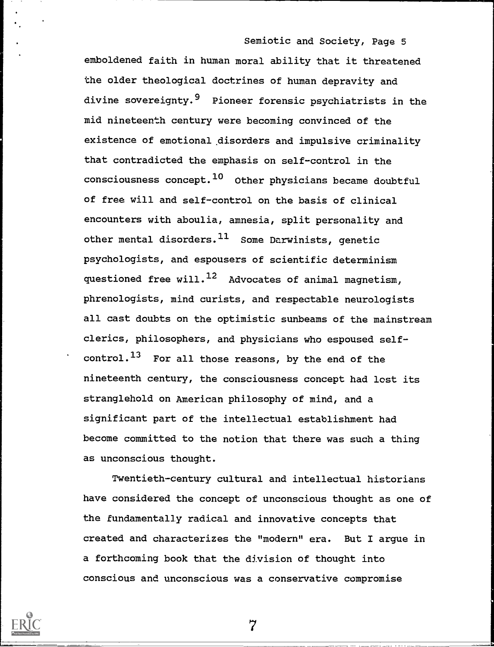emboldened faith in human moral ability that it threatened the older theological doctrines of human depravity and divine sovereignty.<sup>9</sup> Pioneer forensic psychiatrists in the mid nineteenth century were becoming convinced of the existence of emotional disorders and impulsive criminality that contradicted the emphasis on self-control in the consciousness concept. <sup>10</sup> Other physicians became doubtful of free will and self-control on the basis of clinical encounters with aboulia, amnesia, split personality and other mental disorders.  $11$  Some Darwinists, genetic psychologists, and espousers of scientific determinism questioned free will. $^{12}$  Advocates of animal magnetism, phrenologists, mind curists, and respectable neurologists all cast doubts on the optimistic sunbeams of the mainstream clerics, philosophers, and physicians who espoused self $control.^{13}$  For all those reasons, by the end of the nineteenth century, the consciousness concept had lest its stranglehold on American philosophy of mind, and a significant part of the intellectual establishment had become committed to the notion that there was such a thing as unconscious thought.

Twentieth-century cultural and intellectual historians have considered the concept of unconscious thought as one of the fundamentally radical and innovative concepts that created and characterizes the "modern" era. But I argue in a forthcoming book that the division of thought into conscious and unconscious was a conservative compromise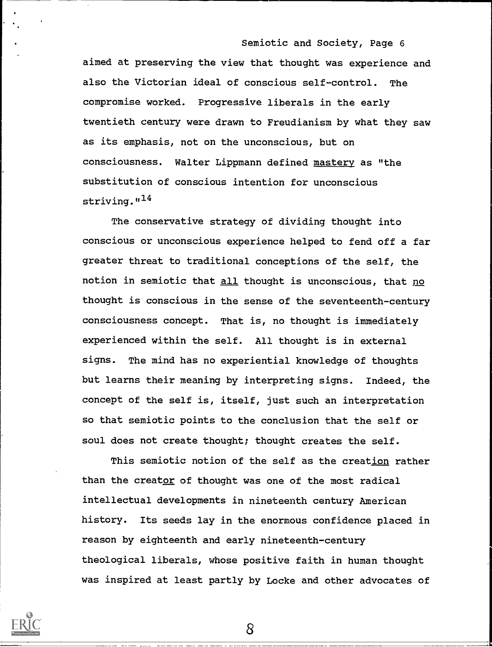aimed at preserving the view that thought was experience and also the Victorian ideal of conscious self-control. The compromise worked. Progressive liberals in the early twentieth century were drawn to Freudianism by what they saw as its emphasis, not on the unconscious, but on consciousness. Walter Lippmann defined mastery as "the substitution of conscious intention for unconscious striving. $14$ 

The conservative strategy of dividing thought into conscious or unconscious experience helped to fend off a far greater threat to traditional conceptions of the self, the notion in semiotic that all thought is unconscious, that no thought is conscious in the sense of the seventeenth-century consciousness concept. That is, no thought is immediately experienced within the self. All thought is in external signs. The mind has no experiential knowledge of thoughts but learns their meaning by interpreting signs. Indeed, the concept of the self is, itself, just such an interpretation so that semiotic points to the conclusion that the self or soul does not create thought; thought creates the self.

This semiotic notion of the self as the creation rather than the creator of thought was one of the most radical intellectual developments in nineteenth century American history. Its seeds lay in the enormous confidence placed in reason by eighteenth and early nineteenth-century theological liberals, whose positive faith in human thought was inspired at least partly by Locke and other advocates of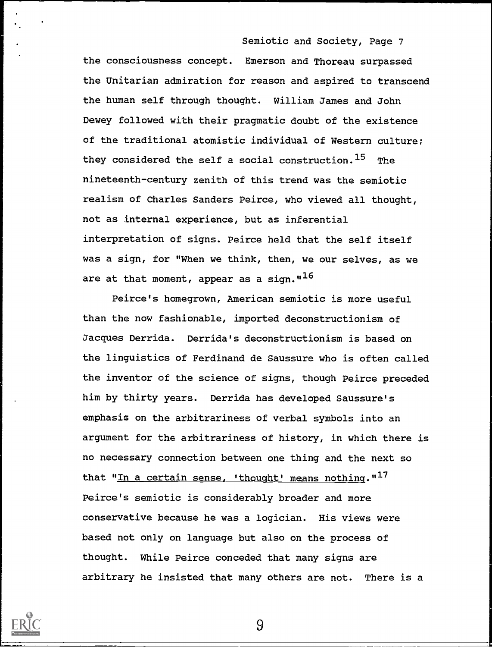the consciousness concept. Emerson and Thoreau surpassed the Unitarian admiration for reason and aspired to transcend the human self through thought. William James and John Dewey followed with their pragmatic doubt of the existence of the traditional atomistic individual of Western culture; they considered the self a social construction.<sup>15</sup> The nineteenth-century zenith of this trend was the semiotic realism of Charles Sanders Peirce, who viewed all thought, not as internal experience, but as inferential interpretation of signs. Peirce held that the self itself was a sign, for "When we think, then, we our selves, as we are at that moment, appear as a sign.  $1^{16}$ 

Peirce's homegrown, American semiotic is more useful than the now fashionable, imported deconstructionism of Jacques Derrida. Derrida's deconstructionism is based on the linguistics of Ferdinand de Saussure who is often called the inventor of the science of signs, though Peirce preceded him by thirty years. Derrida has developed Saussure's emphasis on the arbitrariness of verbal symbols into an argument for the arbitrariness of history, in which there is no necessary connection between one thing and the next so that "In a certain sense, 'thought' means nothing."<sup>17</sup> Peirce's semiotic is considerably broader and more conservative because he was a logician. His views were based not only on language but also on the process of thought. While Peirce conceded that many signs are arbitrary he insisted that many others are not. There is a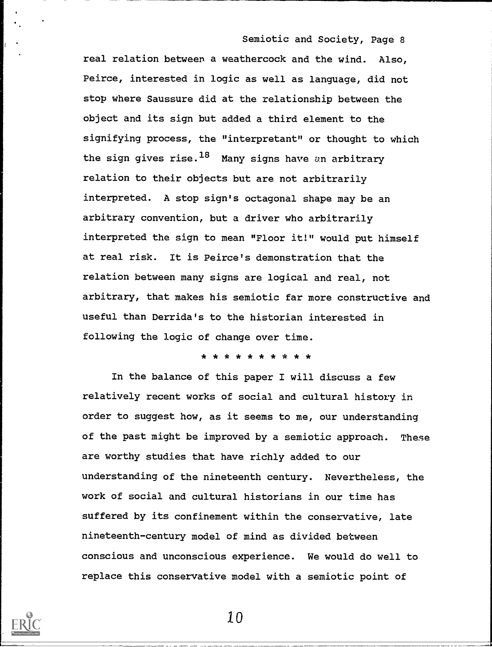real relation between a weathercock and the wind. Also, Peirce, interested in logic as well as language, did not stop where Saussure did at the relationship between the object and its sign but added a third element to the signifying process, the "interpretant" or thought to which the sign gives rise.<sup>18</sup> Many signs have an arbitrary relation to their objects but are not arbitrarily interpreted. A stop sign's octagonal shape may be an arbitrary convention, but a driver who arbitrarily interpreted the sign to mean "Floor it!" would put himself at real risk. It is Peirce's demonstration that the relation between many signs are logical and real, not arbitrary, that makes his semiotic far more constructive and useful than Derrida's to the historian interested in following the logic of change over time.

## \* \* \* \* \* \* \* \* \* \*

In the balance of this paper I will discuss a few relatively recent works of social and cultural history in order to suggest how, as it seems to me, our understanding of the past might be improved by a semiotic approach. These are worthy studies that have richly added to our understanding of the nineteenth century. Nevertheless, the work of social and cultural historians in our time has suffered by its confinement within the conservative, late nineteenth-century model of mind as divided between conscious and unconscious experience. We would do well to replace this conservative model with a semiotic point of

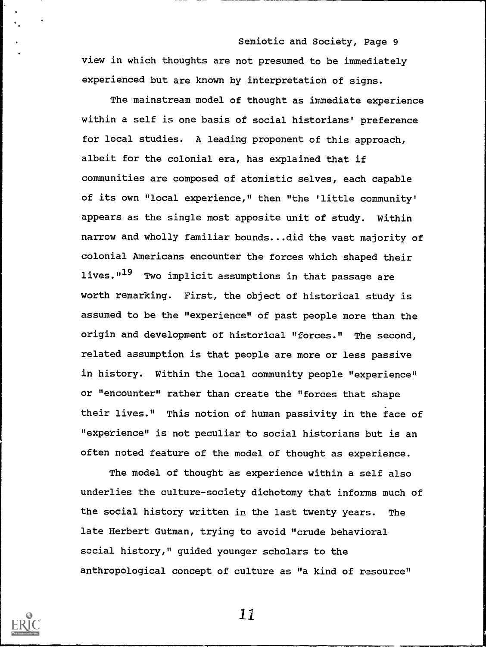Semiotic and Society, Page 9 view in which thoughts are not presumed to be immediately experienced but are known by interpretation of signs.

The mainstream model of thought as immediate experience within a self is one basis of social historians' preference for local studies. A leading proponent of this approach, albeit for the colonial era, has explained that if communities are composed of atomistic selves, each capable of its own "local experience," then "the 'little community' appears as the single most apposite unit of study. Within narrow and wholly familiar bounds...did the vast majority of colonial Americans encounter the forces which shaped their lives."<sup>19</sup> Two implicit assumptions in that passage are worth remarking. First, the object of historical study is assumed to be the "experience" of past people more than the origin and development of historical "forces." The second, related assumption is that people are more or less passive in history. Within the local community people "experience" or "encounter" rather than create the "forces that shape their lives." This notion of human passivity in the face of "experience" is not peculiar to social historians but is an often noted feature of the model of thought as experience.

The model of thought as experience within a self also underlies the culture-society dichotomy that informs much of the social history written in the last twenty years. The late Herbert Gutman, trying to avoid "crude behavioral social history," guided younger scholars to the anthropological concept of culture as "a kind of resource"

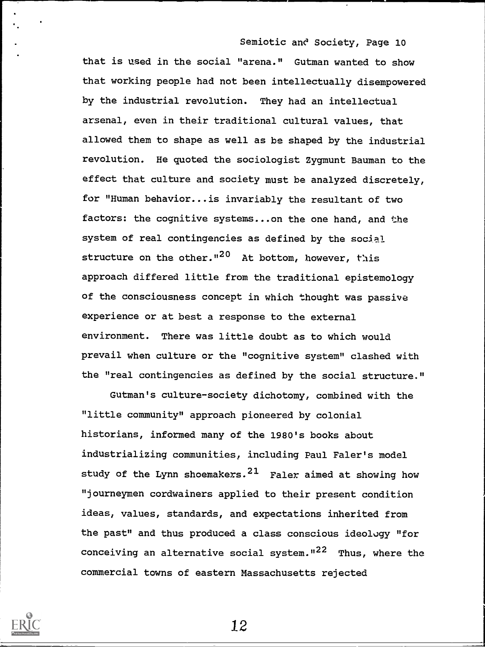that is used in the social "arena." Gutman wanted to show that working people had not been intellectually disempowered by the industrial revolution. They had an intellectual arsenal, even in their traditional cultural values, that allowed them to shape as well as be shaped by the industrial revolution. He quoted the sociologist Zygmunt Bauman to the effect that culture and society must be analyzed discretely, for "Human behavior...is invariably the resultant of two factors: the cognitive systems...on the one hand, and the system of real contingencies as defined by the social structure on the other.<sup>1120</sup> At bottom, however, this approach differed little from the traditional epistemology of the consciousness concept in which thought was passive experience or at best a response to the external environment. There was little doubt as to which would prevail when culture or the "cognitive system" clashed with the "real contingencies as defined by the social structure."

Gutman's culture-society dichotomy, combined with the "little community" approach pioneered by colonial historians, informed many of the 1980's books about industrializing communities, including Paul Faler's model study of the Lynn shoemakers.  $21$  Faler aimed at showing how "journeymen cordwainers applied to their present condition ideas, values, standards, and expectations inherited from the past" and thus produced a class conscious ideology "for conceiving an alternative social system.  $12^2$  Thus, where the commercial towns of eastern Massachusetts rejected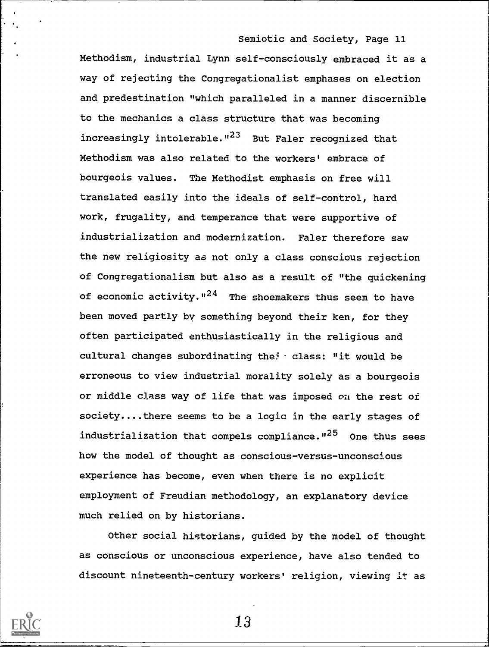Methodism, industrial Lynn self-consciously embraced it as a way of rejecting the Congregationalist emphases on election and predestination "which paralleled in a manner discernible to the mechanics a class structure that was becoming increasingly intolerable."<sup>23</sup> But Faler recognized that Methodism was also related to the workers' embrace of bourgeois values. The Methodist emphasis on free will translated easily into the ideals of self-control, hard work, frugality, and temperance that were supportive of industrialization and modernization. Faler therefore saw the new religiosity as not only a class conscious rejection of Congregationalism but also as a result of "the quickening of economic activity.  $124$  The shoemakers thus seem to have been moved partly by something beyond their ken, for they often participated enthusiastically in the religious and cultural changes subordinating the:  $\cdot$  class: "it would be erroneous to view industrial morality solely as a bourgeois or middle class way of life that was imposed on the rest of society....there seems to be a logic in the early stages of industrialization that compels compliance."<sup>25</sup> One thus sees how the model of thought as conscious-versus-unconscious experience has become, even when there is no explicit employment of Freudian methodology, an explanatory device much relied on by historians.

Other social historians, guided by the model of thought as conscious or unconscious experience, have also tended to discount nineteenth-century workers' religion, viewing it as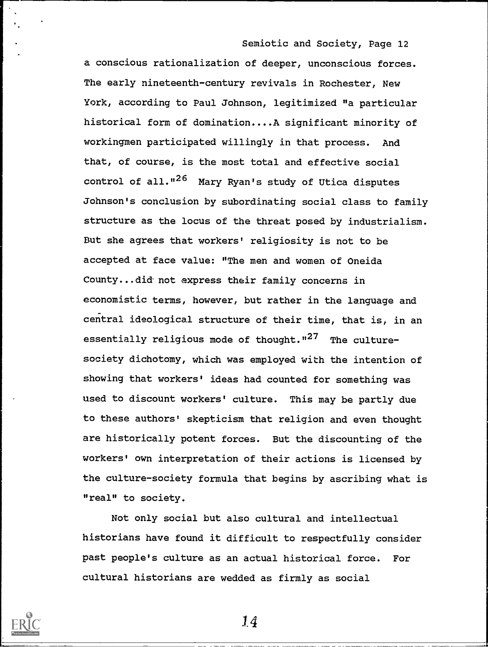a conscious rationalization of deeper, unconscious forces. The early nineteenth-century revivals in Rochester, New York, according to Paul Johnson, legitimized "a particular historical form of domination....A significant minority of workingmen participated willingly in that process. And that, of course, is the most total and effective social control of all."<sup>26</sup> Mary Ryan's study of Utica disputes Johnson's conclusion by subordinating social class to family structure as the locus of the threat posed by industrialism. But she agrees that workers' religiosity is not to be accepted at face value: "The men and women of Oneida County...did not express their family concerns in economistic terms, however, but rather in the language and central ideological structure of their time, that is, in an essentially religious mode of thought." $27$  The culturesociety dichotomy, which was employed with the intention of showing that workers' ideas had counted for something was used to discount workers' culture. This may be partly due to these authors' skepticism that religion and even thought are historically potent forces. But the discounting of the workers' own interpretation of their actions is licensed by the culture-society formula that begins by ascribing what is "real" to society.

Not only social but also cultural and intellectual historians have found it difficult to respectfully consider past people's culture as an actual historical force. For cultural historians are wedded as firmly as social

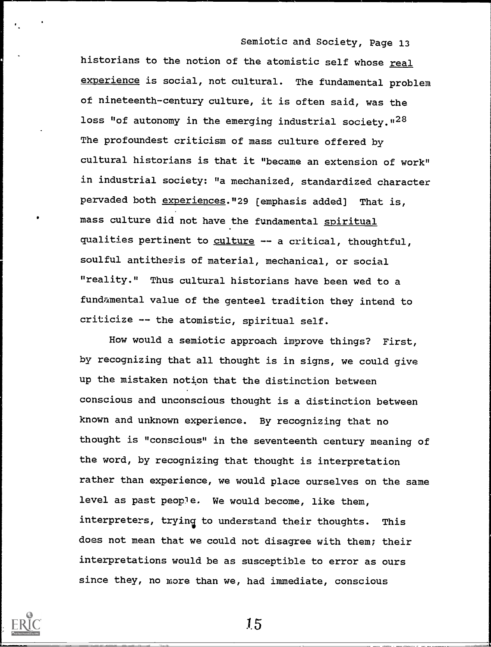historians to the notion of the atomistic self whose real experience is social, not cultural. The fundamental problem of nineteenth-century culture, it is often said, was the loss "of autonomy in the emerging industrial society.  $n^{28}$ The profoundest criticism of mass culture offered by cultural historians is that it "became an extension of work" in industrial society: "a mechanized, standardized character pervaded both experiences."29 [emphasis added] That is, mass culture did not have the fundamental spiritual qualities pertinent to culture -- a critical, thoughtful, soulful antithesis of material, mechanical, or social "reality." Thus cultural historians have been wed to a fundamental value of the genteel tradition they intend to criticize -- the atomistic, spiritual self.

How would a semiotic approach improve things? First, by recognizing that all thought is in signs, we could give up the mistaken notion that the distinction between conscious and unconscious thought is a distinction between known and unknown experience. By recognizing that no thought is "conscious" in the seventeenth century meaning of the word, by recognizing that thought is interpretation rather than experience, we would place ourselves on the same level as past people. We would become, like them, interpreters, trying to understand their thoughts. This does not mean that we could not disagree with them; their interpretations would be as susceptible to error as ours since they, no more than we, had immediate, conscious

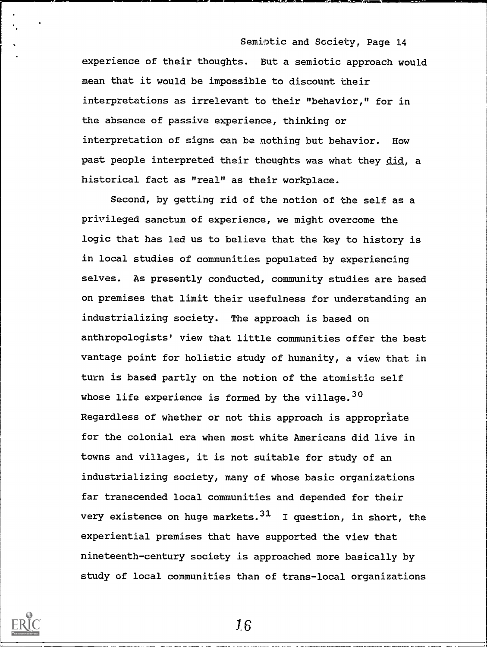Semiotic and Society, Page 14 experience of their thoughts. But a semiotic approach would mean that it would be impossible to discount their interpretations as irrelevant to their "behavior," for in the absence of passive experience, thinking or interpretation of signs can be nothing but behavior. How past people interpreted their thoughts was what they did, a historical fact as "real" as their workplace.

Second, by getting rid of the notion of the self as a privileged sanctum of experience, we might overcome the logic that has led us to believe that the key to history is in local studies of communities populated by experiencing selves. As presently conducted, community studies are based on premises that limit their usefulness for understanding an industrializing society. The approach is based on anthropologists' view that little communities offer the best vantage point for holistic study of humanity, a view that in turn is based partly on the notion of the atomistic self whose life experience is formed by the village.  $30$ Regardless of whether or not this approach is appropriate for the colonial era when most white Americans did live in towns and villages, it is not suitable for study of an industrializing society, many of whose basic organizations far transcended local communities and depended for their very existence on huge markets.  $31$  I question, in short, the experiential premises that have supported the view that nineteenth-century society is approached more basically by study of local communities than of trans-local organizations



1.6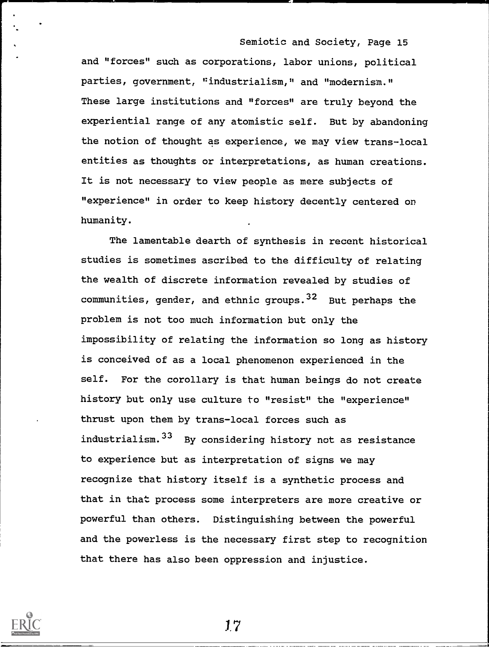and "forces" such as corporations, labor unions, political parties, government, "industrialism," and "modernism." These large institutions and "forces" are truly beyond the experiential range of any atomistic self. But by abandoning the notion of thought as experience, we may view trans-local entities as thoughts or interpretations, as human creations. It is not necessary to view people as mere subjects of "experience" in order to keep history decently centered on humanity.

The lamentable dearth of synthesis in recent historical studies is sometimes ascribed to the difficulty of relating the wealth of discrete information revealed by studies of communities, gender, and ethnic groups. <sup>32</sup> But perhaps the problem is not too much information but only the impossibility of relating the information so long as history is conceived of as a local phenomenon experienced in the self. For the corollary is that human beings do not create history but only use culture to "resist" the "experience" thrust upon them by trans-local forces such as industrialism. 33 By considering history not as resistance to experience but as interpretation of signs we may recognize that history itself is a synthetic process and that in that process some interpreters are more creative or powerful than others. Distinguishing between the powerful and the powerless is the necessary first step to recognition that there has also been oppression and injustice.

1.7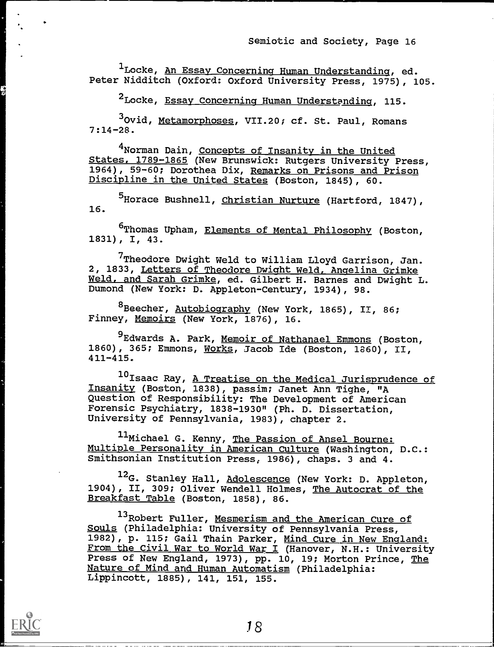<sup>1</sup>Locke, <u>An Essay Concerning Human Understanding</u>, ed. Peter Nidditch (Oxford: Oxford University Press, 1975), 105.

<sup>2</sup>Locke, Essay Concerning Human Understanding, 115.

<sup>3</sup>Ovid, Metamorphoses, VII.20; cf. St. Paul, Romans 7:14-28.

4Norman Dain, Concepts of Insanity in the United States, 1789-1865 (New Brunswick: Rutgers University Press, 1964), 59-60; Dorothea Dix, Remarks on Prisons and Prison Discipline in the United States (Boston, 1845), 60.

<sup>5</sup>Horace Bushnell, <u>Christian Nurture</u> (Hartford, 1847), 16.

<sup>6</sup>Thomas Upham, <u>Elements of Mental Philosophy</u> (Boston, 1831), I, 43.

<sup>7</sup>Theodore Dwight Weld to William Lloyd Garrison, Jan. 2, 1833, Letters of Theodore Dwight Weld, Angelina Grimke Weld, and Sarah Grimke, ed. Gilbert H. Barnes and Dwight L. Dumond (New York: D. Appleton-Century, 1934), 98.

<sup>8</sup> Beecher, Autobiography (New York, 1865), II, 86; Finney, Memoirs (New York, 1876), 16.

<sup>9</sup>Edwards A. Park, Memoir of Nathanael Emmons (Boston, 1860), 365; Emmons, Works, Jacob Ide (Boston, 1860), II, 411-415.

10 Isaac Ray, A Treatise on the Medical Jurisprudence of Insanity (Boston, 1838), passim; Janet Ann Tighe, "A Question of Responsibility: The Development of American Forensic Psychiatry, 1838-1930" (Ph. D. Dissertation, University of Pennsylvania, 1983), chapter 2.

11Michael G. Kenny, The Passion of Ansel Bourne: Multiple Personality in American Culture (Washington, D.C.: Smithsonian Institution Press, 1986), chaps. 3 and 4.

12<sub>G</sub>. Stanley Hall, Adolescence (New York: D. Appleton, 1904), II, 309; Oliver Wendell Holmes, The Autocrat of the Breakfast Table (Boston, 1858), 86.

<sup>13</sup>Robert Fuller, Mesmerism and the American Cure of Souls (Philadelphia: University of Pennsylvania Press, 1982), p. 115; Gail Thain Parker, Mind Cure in New England: From the Civil War to World War I (Hanover, N.H.: University Press of New England, 1973), pp. 10, 19; Morton Prince, The Nature of Mind and Human Automatism (Philadelphia: Lippincott, 1885), 141, 151, 155.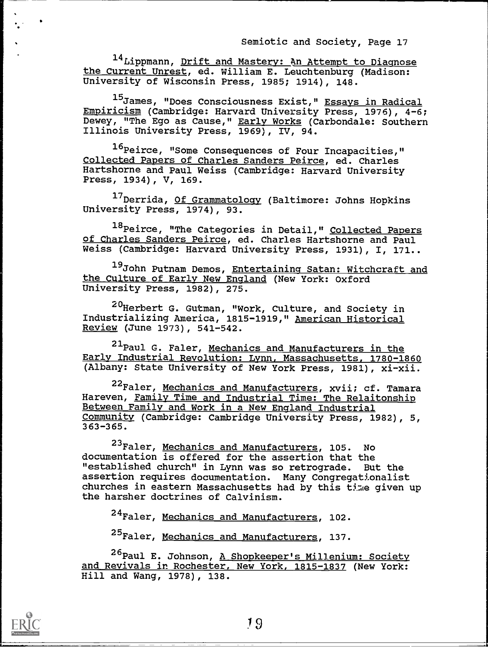14 Lippmann, Drift and Mastery: An Attempt to Diagnose the Current Unrest, ed. William E. Leuchtenburg (Madison: University of Wisconsin Press, 1985; 1914), 148.

15James, "Does Consciousness Exist," Essays in Radical Empiricism (Cambridge: Harvard University Press, 1976), 4-6; Dewey, "The Ego as Cause," Early Works (Carbondale: Southern Illinois University Press, 1969), IV, 94.

16 Peirce, "Some Consequences of Four Incapacities," Collected Papers of Charles Sanders Peirce, ed. Charles Hartshorne and Paul Weiss (Cambridge: Harvard University Press, 1934), V, 169.

17Derrida, Of Grammatology (Baltimore: Johns Hopkins University Press, 1974), 93.

18 Peirce, "The Categories in Detail," Collected Papers of Charles Sanders Peirce, ed. Charles Hartshorne and Paul Weiss (Cambridge: Harvard University Press, 1931), I, 171..

19John Putnam Demos, Entertaining Satan: Witchcraft and the Culture of Early New England (New York: Oxford University Press, 1982), 275.

<sup>20</sup>Herbert G. Gutman, "Work, Culture, and Society in Industrializing America, 1815-1919," American Historical Review (June 1973), 541-542.

21 Paul G. Faler, Mechanics and Manufacturers in the Early Industrial Revolution: Lynn, Massachusetts, 1780-1860 (Albany: State University of New York Press, 1981), xi-xii.

<sup>22</sup>Faler, Mechanics and Manufacturers, xvii; cf. Tamara Hareven, Family Time and Industrial Time: The Relaitonship Between Family and Work in a New England Industrial Community (Cambridge: Cambridge University Press, 1982), 5, 363-365.

23Faler, Mechanics and Manufacturers, 105. No documentation is offered for the assertion that the "established church" in Lynn was so retrograde. But the assertion requires documentation. Many Congregationalist churches in eastern Massachusetts had by this time given up the harsher doctrines of Calvinism.

<sup>24</sup>Faler, Mechanics and Manufacturers, 102.

<sup>25</sup>Faler, Mechanics and Manufacturers, 137.

26 Paul E. Johnson, A Shopkeeper's Millenium: Society and Revivals in Rochester, New York, 1815-1837 (New York: Hill and Wang, 1978), 138.